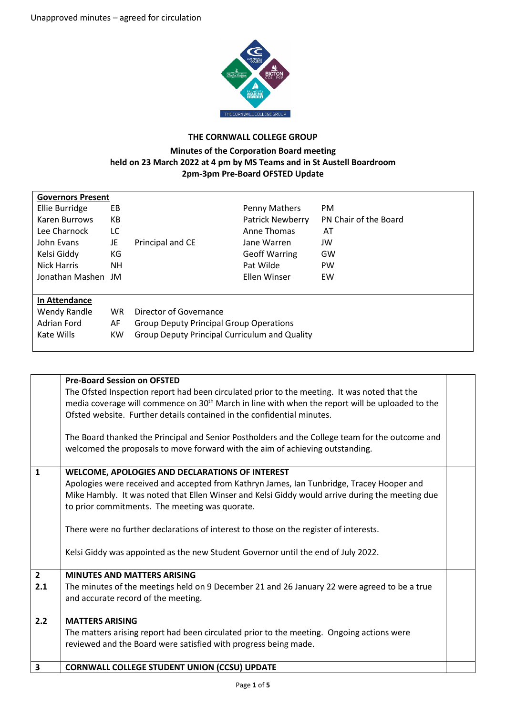

## **THE CORNWALL COLLEGE GROUP**

## **Minutes of the Corporation Board meeting held on 23 March 2022 at 4 pm by MS Teams and in St Austell Boardroom 2pm-3pm Pre-Board OFSTED Update**

| <b>Governors Present</b> |           |                                                      |                         |                       |
|--------------------------|-----------|------------------------------------------------------|-------------------------|-----------------------|
| Ellie Burridge           | EB        |                                                      | Penny Mathers           | PM.                   |
| Karen Burrows            | КB        |                                                      | <b>Patrick Newberry</b> | PN Chair of the Board |
| Lee Charnock             | LC        |                                                      | Anne Thomas             | AT                    |
| John Evans               | JE        | Principal and CE                                     | Jane Warren             | JW                    |
| Kelsi Giddy              | КG        |                                                      | <b>Geoff Warring</b>    | GW                    |
| <b>Nick Harris</b>       | NΗ        |                                                      | Pat Wilde               | <b>PW</b>             |
| Jonathan Mashen JM       |           |                                                      | Ellen Winser            | EW                    |
|                          |           |                                                      |                         |                       |
| In Attendance            |           |                                                      |                         |                       |
| Wendy Randle             | <b>WR</b> | Director of Governance                               |                         |                       |
| Adrian Ford              | AF        | <b>Group Deputy Principal Group Operations</b>       |                         |                       |
| Kate Wills               | <b>KW</b> | <b>Group Deputy Principal Curriculum and Quality</b> |                         |                       |
|                          |           |                                                      |                         |                       |

|                              | <b>Pre-Board Session on OFSTED</b><br>The Ofsted Inspection report had been circulated prior to the meeting. It was noted that the<br>media coverage will commence on 30 <sup>th</sup> March in line with when the report will be uploaded to the<br>Ofsted website. Further details contained in the confidential minutes.                                                                                                                                                            |  |
|------------------------------|----------------------------------------------------------------------------------------------------------------------------------------------------------------------------------------------------------------------------------------------------------------------------------------------------------------------------------------------------------------------------------------------------------------------------------------------------------------------------------------|--|
|                              | The Board thanked the Principal and Senior Postholders and the College team for the outcome and<br>welcomed the proposals to move forward with the aim of achieving outstanding.                                                                                                                                                                                                                                                                                                       |  |
| $\mathbf{1}$                 | <b>WELCOME, APOLOGIES AND DECLARATIONS OF INTEREST</b><br>Apologies were received and accepted from Kathryn James, Ian Tunbridge, Tracey Hooper and<br>Mike Hambly. It was noted that Ellen Winser and Kelsi Giddy would arrive during the meeting due<br>to prior commitments. The meeting was quorate.<br>There were no further declarations of interest to those on the register of interests.<br>Kelsi Giddy was appointed as the new Student Governor until the end of July 2022. |  |
| $\overline{2}$<br>2.1<br>2.2 | <b>MINUTES AND MATTERS ARISING</b><br>The minutes of the meetings held on 9 December 21 and 26 January 22 were agreed to be a true<br>and accurate record of the meeting.<br><b>MATTERS ARISING</b><br>The matters arising report had been circulated prior to the meeting. Ongoing actions were                                                                                                                                                                                       |  |
| $\mathbf{3}$                 | reviewed and the Board were satisfied with progress being made.<br><b>CORNWALL COLLEGE STUDENT UNION (CCSU) UPDATE</b>                                                                                                                                                                                                                                                                                                                                                                 |  |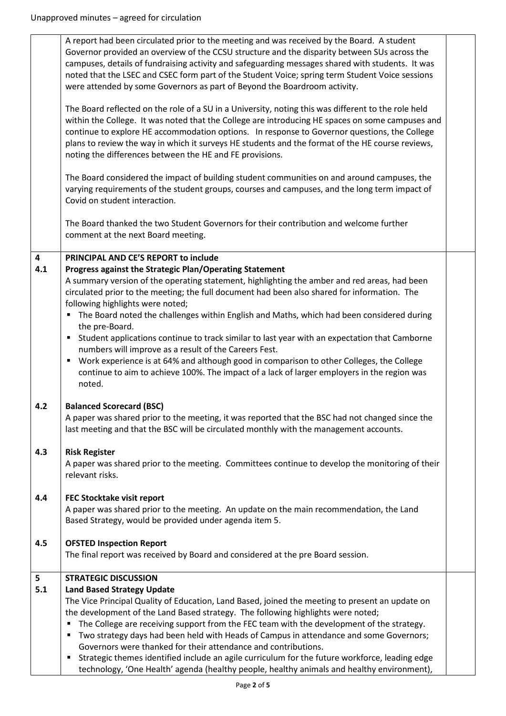|     | A report had been circulated prior to the meeting and was received by the Board. A student<br>Governor provided an overview of the CCSU structure and the disparity between SUs across the<br>campuses, details of fundraising activity and safeguarding messages shared with students. It was<br>noted that the LSEC and CSEC form part of the Student Voice; spring term Student Voice sessions<br>were attended by some Governors as part of Beyond the Boardroom activity. |  |
|-----|--------------------------------------------------------------------------------------------------------------------------------------------------------------------------------------------------------------------------------------------------------------------------------------------------------------------------------------------------------------------------------------------------------------------------------------------------------------------------------|--|
|     | The Board reflected on the role of a SU in a University, noting this was different to the role held<br>within the College. It was noted that the College are introducing HE spaces on some campuses and<br>continue to explore HE accommodation options. In response to Governor questions, the College<br>plans to review the way in which it surveys HE students and the format of the HE course reviews,<br>noting the differences between the HE and FE provisions.        |  |
|     | The Board considered the impact of building student communities on and around campuses, the<br>varying requirements of the student groups, courses and campuses, and the long term impact of<br>Covid on student interaction.                                                                                                                                                                                                                                                  |  |
|     | The Board thanked the two Student Governors for their contribution and welcome further<br>comment at the next Board meeting.                                                                                                                                                                                                                                                                                                                                                   |  |
| 4   | PRINCIPAL AND CE'S REPORT to include                                                                                                                                                                                                                                                                                                                                                                                                                                           |  |
| 4.1 | Progress against the Strategic Plan/Operating Statement                                                                                                                                                                                                                                                                                                                                                                                                                        |  |
|     | A summary version of the operating statement, highlighting the amber and red areas, had been<br>circulated prior to the meeting; the full document had been also shared for information. The<br>following highlights were noted;                                                                                                                                                                                                                                               |  |
|     | The Board noted the challenges within English and Maths, which had been considered during<br>$\blacksquare$                                                                                                                                                                                                                                                                                                                                                                    |  |
|     | the pre-Board.                                                                                                                                                                                                                                                                                                                                                                                                                                                                 |  |
|     | Student applications continue to track similar to last year with an expectation that Camborne<br>٠                                                                                                                                                                                                                                                                                                                                                                             |  |
|     | numbers will improve as a result of the Careers Fest.<br>Work experience is at 64% and although good in comparison to other Colleges, the College<br>٠<br>continue to aim to achieve 100%. The impact of a lack of larger employers in the region was<br>noted.                                                                                                                                                                                                                |  |
| 4.2 | <b>Balanced Scorecard (BSC)</b>                                                                                                                                                                                                                                                                                                                                                                                                                                                |  |
|     | A paper was shared prior to the meeting, it was reported that the BSC had not changed since the<br>last meeting and that the BSC will be circulated monthly with the management accounts.                                                                                                                                                                                                                                                                                      |  |
| 4.3 | <b>Risk Register</b>                                                                                                                                                                                                                                                                                                                                                                                                                                                           |  |
|     | A paper was shared prior to the meeting. Committees continue to develop the monitoring of their<br>relevant risks.                                                                                                                                                                                                                                                                                                                                                             |  |
| 4.4 | FEC Stocktake visit report                                                                                                                                                                                                                                                                                                                                                                                                                                                     |  |
|     | A paper was shared prior to the meeting. An update on the main recommendation, the Land<br>Based Strategy, would be provided under agenda item 5.                                                                                                                                                                                                                                                                                                                              |  |
| 4.5 | <b>OFSTED Inspection Report</b>                                                                                                                                                                                                                                                                                                                                                                                                                                                |  |
|     | The final report was received by Board and considered at the pre Board session.                                                                                                                                                                                                                                                                                                                                                                                                |  |
| 5   | <b>STRATEGIC DISCUSSION</b>                                                                                                                                                                                                                                                                                                                                                                                                                                                    |  |
| 5.1 | <b>Land Based Strategy Update</b>                                                                                                                                                                                                                                                                                                                                                                                                                                              |  |
|     | The Vice Principal Quality of Education, Land Based, joined the meeting to present an update on                                                                                                                                                                                                                                                                                                                                                                                |  |
|     | the development of the Land Based strategy. The following highlights were noted;<br>The College are receiving support from the FEC team with the development of the strategy.                                                                                                                                                                                                                                                                                                  |  |
|     | Two strategy days had been held with Heads of Campus in attendance and some Governors;<br>п                                                                                                                                                                                                                                                                                                                                                                                    |  |
|     | Governors were thanked for their attendance and contributions.                                                                                                                                                                                                                                                                                                                                                                                                                 |  |
|     | Strategic themes identified include an agile curriculum for the future workforce, leading edge<br>٠                                                                                                                                                                                                                                                                                                                                                                            |  |
|     | technology, 'One Health' agenda (healthy people, healthy animals and healthy environment),                                                                                                                                                                                                                                                                                                                                                                                     |  |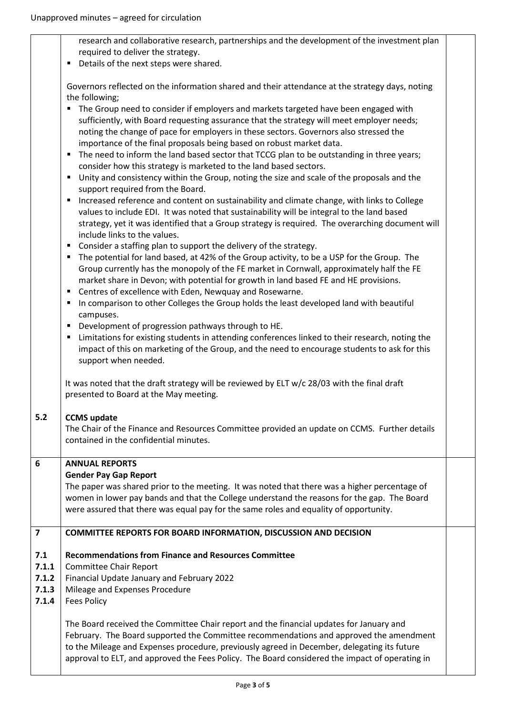|                                         | research and collaborative research, partnerships and the development of the investment plan<br>required to deliver the strategy.                                                                                                                                                                                                                                                  |  |
|-----------------------------------------|------------------------------------------------------------------------------------------------------------------------------------------------------------------------------------------------------------------------------------------------------------------------------------------------------------------------------------------------------------------------------------|--|
|                                         | Details of the next steps were shared.<br>٠                                                                                                                                                                                                                                                                                                                                        |  |
|                                         | Governors reflected on the information shared and their attendance at the strategy days, noting                                                                                                                                                                                                                                                                                    |  |
|                                         | the following;<br>The Group need to consider if employers and markets targeted have been engaged with<br>٠<br>sufficiently, with Board requesting assurance that the strategy will meet employer needs;<br>noting the change of pace for employers in these sectors. Governors also stressed the<br>importance of the final proposals being based on robust market data.           |  |
|                                         | The need to inform the land based sector that TCCG plan to be outstanding in three years;<br>п<br>consider how this strategy is marketed to the land based sectors.                                                                                                                                                                                                                |  |
|                                         | Unity and consistency within the Group, noting the size and scale of the proposals and the<br>п<br>support required from the Board.                                                                                                                                                                                                                                                |  |
|                                         | Increased reference and content on sustainability and climate change, with links to College<br>п<br>values to include EDI. It was noted that sustainability will be integral to the land based<br>strategy, yet it was identified that a Group strategy is required. The overarching document will<br>include links to the values.                                                 |  |
|                                         | Consider a staffing plan to support the delivery of the strategy.<br>п                                                                                                                                                                                                                                                                                                             |  |
|                                         | The potential for land based, at 42% of the Group activity, to be a USP for the Group. The<br>٠<br>Group currently has the monopoly of the FE market in Cornwall, approximately half the FE<br>market share in Devon; with potential for growth in land based FE and HE provisions.<br>Centres of excellence with Eden, Newquay and Rosewarne.<br>п                                |  |
|                                         | In comparison to other Colleges the Group holds the least developed land with beautiful<br>п<br>campuses.                                                                                                                                                                                                                                                                          |  |
|                                         | Development of progression pathways through to HE.<br>п                                                                                                                                                                                                                                                                                                                            |  |
|                                         | Limitations for existing students in attending conferences linked to their research, noting the<br>п<br>impact of this on marketing of the Group, and the need to encourage students to ask for this<br>support when needed.                                                                                                                                                       |  |
|                                         | It was noted that the draft strategy will be reviewed by ELT w/c 28/03 with the final draft<br>presented to Board at the May meeting.                                                                                                                                                                                                                                              |  |
| 5.2                                     | <b>CCMS</b> update                                                                                                                                                                                                                                                                                                                                                                 |  |
|                                         | The Chair of the Finance and Resources Committee provided an update on CCMS. Further details<br>contained in the confidential minutes.                                                                                                                                                                                                                                             |  |
| 6                                       | <b>ANNUAL REPORTS</b>                                                                                                                                                                                                                                                                                                                                                              |  |
|                                         | <b>Gender Pay Gap Report</b><br>The paper was shared prior to the meeting. It was noted that there was a higher percentage of<br>women in lower pay bands and that the College understand the reasons for the gap. The Board<br>were assured that there was equal pay for the same roles and equality of opportunity.                                                              |  |
| $\overline{z}$                          | COMMITTEE REPORTS FOR BOARD INFORMATION, DISCUSSION AND DECISION                                                                                                                                                                                                                                                                                                                   |  |
| 7.1<br>7.1.1<br>7.1.2<br>7.1.3<br>7.1.4 | <b>Recommendations from Finance and Resources Committee</b><br>Committee Chair Report<br>Financial Update January and February 2022<br>Mileage and Expenses Procedure<br><b>Fees Policy</b>                                                                                                                                                                                        |  |
|                                         | The Board received the Committee Chair report and the financial updates for January and<br>February. The Board supported the Committee recommendations and approved the amendment<br>to the Mileage and Expenses procedure, previously agreed in December, delegating its future<br>approval to ELT, and approved the Fees Policy. The Board considered the impact of operating in |  |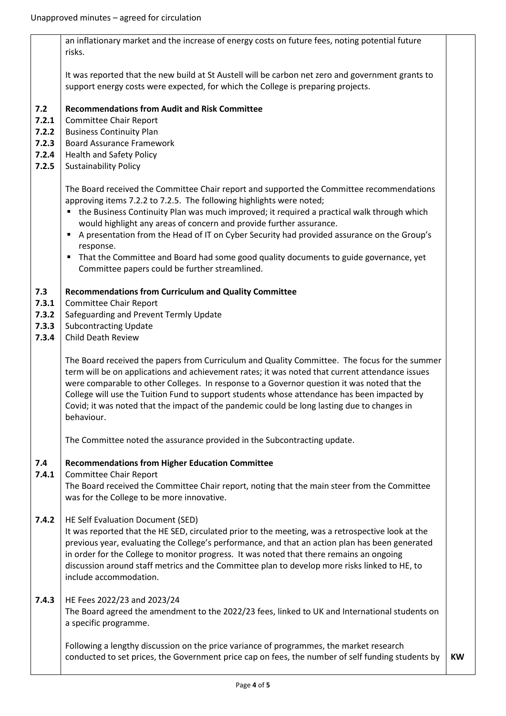|                                                  | an inflationary market and the increase of energy costs on future fees, noting potential future<br>risks.                                                                                                                                                                                                                                                                                                                                                                                                                                                                                                                        |           |
|--------------------------------------------------|----------------------------------------------------------------------------------------------------------------------------------------------------------------------------------------------------------------------------------------------------------------------------------------------------------------------------------------------------------------------------------------------------------------------------------------------------------------------------------------------------------------------------------------------------------------------------------------------------------------------------------|-----------|
|                                                  | It was reported that the new build at St Austell will be carbon net zero and government grants to<br>support energy costs were expected, for which the College is preparing projects.                                                                                                                                                                                                                                                                                                                                                                                                                                            |           |
| 7.2<br>7.2.1<br>7.2.2<br>7.2.3<br>7.2.4<br>7.2.5 | <b>Recommendations from Audit and Risk Committee</b><br>Committee Chair Report<br><b>Business Continuity Plan</b><br><b>Board Assurance Framework</b><br><b>Health and Safety Policy</b><br><b>Sustainability Policy</b>                                                                                                                                                                                                                                                                                                                                                                                                         |           |
|                                                  | The Board received the Committee Chair report and supported the Committee recommendations<br>approving items 7.2.2 to 7.2.5. The following highlights were noted;<br>the Business Continuity Plan was much improved; it required a practical walk through which<br>would highlight any areas of concern and provide further assurance.<br>A presentation from the Head of IT on Cyber Security had provided assurance on the Group's<br>$\blacksquare$<br>response.<br>That the Committee and Board had some good quality documents to guide governance, yet<br>$\blacksquare$<br>Committee papers could be further streamlined. |           |
| 7.3<br>7.3.1<br>7.3.2<br>7.3.3<br>7.3.4          | <b>Recommendations from Curriculum and Quality Committee</b><br>Committee Chair Report<br>Safeguarding and Prevent Termly Update<br><b>Subcontracting Update</b><br><b>Child Death Review</b>                                                                                                                                                                                                                                                                                                                                                                                                                                    |           |
|                                                  | The Board received the papers from Curriculum and Quality Committee. The focus for the summer<br>term will be on applications and achievement rates; it was noted that current attendance issues<br>were comparable to other Colleges. In response to a Governor question it was noted that the<br>College will use the Tuition Fund to support students whose attendance has been impacted by<br>Covid; it was noted that the impact of the pandemic could be long lasting due to changes in<br>behaviour.                                                                                                                      |           |
|                                                  | The Committee noted the assurance provided in the Subcontracting update.                                                                                                                                                                                                                                                                                                                                                                                                                                                                                                                                                         |           |
| 7.4<br>7.4.1                                     | <b>Recommendations from Higher Education Committee</b><br>Committee Chair Report<br>The Board received the Committee Chair report, noting that the main steer from the Committee<br>was for the College to be more innovative.                                                                                                                                                                                                                                                                                                                                                                                                   |           |
| 7.4.2                                            | HE Self Evaluation Document (SED)<br>It was reported that the HE SED, circulated prior to the meeting, was a retrospective look at the<br>previous year, evaluating the College's performance, and that an action plan has been generated<br>in order for the College to monitor progress. It was noted that there remains an ongoing<br>discussion around staff metrics and the Committee plan to develop more risks linked to HE, to<br>include accommodation.                                                                                                                                                                 |           |
| 7.4.3                                            | HE Fees 2022/23 and 2023/24<br>The Board agreed the amendment to the 2022/23 fees, linked to UK and International students on<br>a specific programme.                                                                                                                                                                                                                                                                                                                                                                                                                                                                           |           |
|                                                  | Following a lengthy discussion on the price variance of programmes, the market research<br>conducted to set prices, the Government price cap on fees, the number of self funding students by                                                                                                                                                                                                                                                                                                                                                                                                                                     | <b>KW</b> |